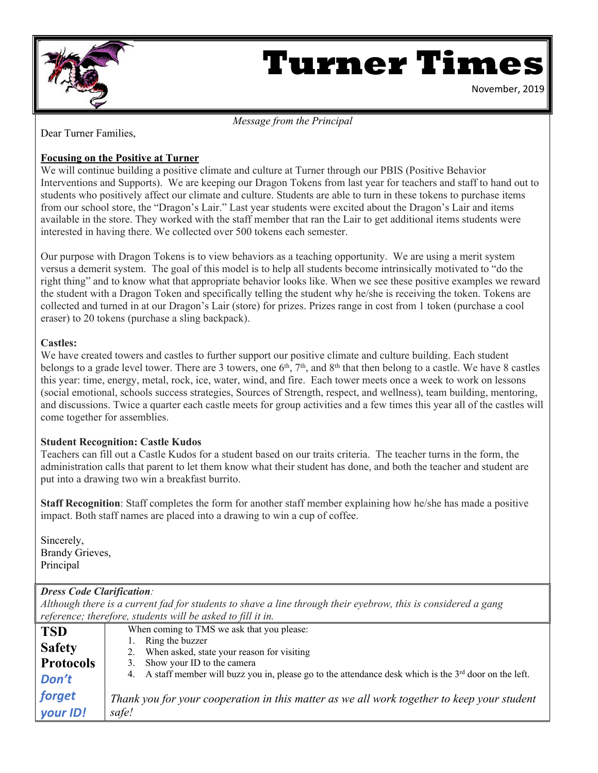

# **Turner Times**

November, 2019

#### *Message from the Principal*

Dear Turner Families,

#### **Focusing on the Positive at Turner**

We will continue building a positive climate and culture at Turner through our PBIS (Positive Behavior Interventions and Supports). We are keeping our Dragon Tokens from last year for teachers and staff to hand out to students who positively affect our climate and culture. Students are able to turn in these tokens to purchase items from our school store, the "Dragon's Lair." Last year students were excited about the Dragon's Lair and items available in the store. They worked with the staff member that ran the Lair to get additional items students were interested in having there. We collected over 500 tokens each semester.

Our purpose with Dragon Tokens is to view behaviors as a teaching opportunity. We are using a merit system versus a demerit system. The goal of this model is to help all students become intrinsically motivated to "do the right thing" and to know what that appropriate behavior looks like. When we see these positive examples we reward the student with a Dragon Token and specifically telling the student why he/she is receiving the token. Tokens are collected and turned in at our Dragon's Lair (store) for prizes. Prizes range in cost from 1 token (purchase a cool eraser) to 20 tokens (purchase a sling backpack).

#### **Castles:**

We have created towers and castles to further support our positive climate and culture building. Each student belongs to a grade level tower. There are 3 towers, one 6<sup>th</sup>, 7<sup>th</sup>, and 8<sup>th</sup> that then belong to a castle. We have 8 castles this year: time, energy, metal, rock, ice, water, wind, and fire. Each tower meets once a week to work on lessons (social emotional, schools success strategies, Sources of Strength, respect, and wellness), team building, mentoring, and discussions. Twice a quarter each castle meets for group activities and a few times this year all of the castles will come together for assemblies.

#### **Student Recognition: Castle Kudos**

Teachers can fill out a Castle Kudos for a student based on our traits criteria. The teacher turns in the form, the administration calls that parent to let them know what their student has done, and both the teacher and student are put into a drawing two win a breakfast burrito.

**Staff Recognition**: Staff completes the form for another staff member explaining how he/she has made a positive impact. Both staff names are placed into a drawing to win a cup of coffee.

Sincerely, Brandy Grieves, Principal

#### *Dress Code Clarification:*

*Although there is a current fad for students to shave a line through their eyebrow, this is considered a gang reference; therefore, students will be asked to fill it in.*

| <b>TSD</b>       | When coming to TMS we ask that you please:                                                                |
|------------------|-----------------------------------------------------------------------------------------------------------|
| <b>Safety</b>    | Ring the buzzer<br>2. When asked, state your reason for visiting                                          |
| <b>Protocols</b> | 3. Show your ID to the camera                                                                             |
| Don't            | 4. A staff member will buzz you in, please go to the attendance desk which is the $3rd$ door on the left. |
| forget           | Thank you for your cooperation in this matter as we all work together to keep your student                |
| your ID!         | safe!                                                                                                     |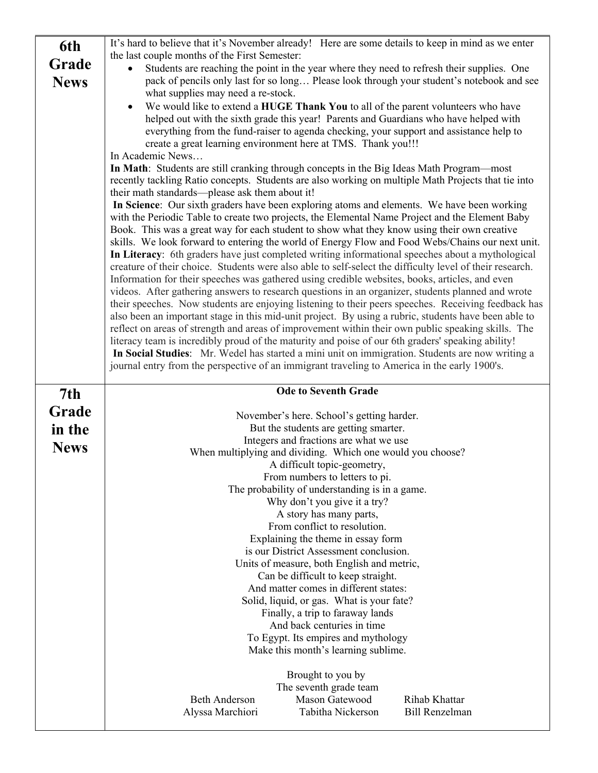| 6th         | It's hard to believe that it's November already! Here are some details to keep in mind as we enter                                                                                                         |
|-------------|------------------------------------------------------------------------------------------------------------------------------------------------------------------------------------------------------------|
|             | the last couple months of the First Semester:                                                                                                                                                              |
| Grade       | Students are reaching the point in the year where they need to refresh their supplies. One                                                                                                                 |
| <b>News</b> | pack of pencils only last for so long Please look through your student's notebook and see                                                                                                                  |
|             | what supplies may need a re-stock.                                                                                                                                                                         |
|             | We would like to extend a HUGE Thank You to all of the parent volunteers who have<br>$\bullet$                                                                                                             |
|             | helped out with the sixth grade this year! Parents and Guardians who have helped with                                                                                                                      |
|             | everything from the fund-raiser to agenda checking, your support and assistance help to                                                                                                                    |
|             | create a great learning environment here at TMS. Thank you!!!<br>In Academic News                                                                                                                          |
|             | In Math: Students are still cranking through concepts in the Big Ideas Math Program—most                                                                                                                   |
|             | recently tackling Ratio concepts. Students are also working on multiple Math Projects that tie into                                                                                                        |
|             | their math standards—please ask them about it!                                                                                                                                                             |
|             | In Science: Our sixth graders have been exploring atoms and elements. We have been working                                                                                                                 |
|             | with the Periodic Table to create two projects, the Elemental Name Project and the Element Baby                                                                                                            |
|             | Book. This was a great way for each student to show what they know using their own creative                                                                                                                |
|             | skills. We look forward to entering the world of Energy Flow and Food Webs/Chains our next unit.                                                                                                           |
|             | In Literacy: 6th graders have just completed writing informational speeches about a mythological                                                                                                           |
|             | creature of their choice. Students were also able to self-select the difficulty level of their research.                                                                                                   |
|             | Information for their speeches was gathered using credible websites, books, articles, and even                                                                                                             |
|             | videos. After gathering answers to research questions in an organizer, students planned and wrote                                                                                                          |
|             | their speeches. Now students are enjoying listening to their peers speeches. Receiving feedback has                                                                                                        |
|             | also been an important stage in this mid-unit project. By using a rubric, students have been able to<br>reflect on areas of strength and areas of improvement within their own public speaking skills. The |
|             | literacy team is incredibly proud of the maturity and poise of our 6th graders' speaking ability!                                                                                                          |
|             | In Social Studies: Mr. Wedel has started a mini unit on immigration. Students are now writing a                                                                                                            |
|             | journal entry from the perspective of an immigrant traveling to America in the early 1900's.                                                                                                               |
|             |                                                                                                                                                                                                            |
|             | <b>Ode to Seventh Grade</b>                                                                                                                                                                                |
|             |                                                                                                                                                                                                            |
| 7th         |                                                                                                                                                                                                            |
| Grade       | November's here. School's getting harder.                                                                                                                                                                  |
| in the      | But the students are getting smarter.                                                                                                                                                                      |
|             | Integers and fractions are what we use                                                                                                                                                                     |
| <b>News</b> | When multiplying and dividing. Which one would you choose?                                                                                                                                                 |
|             | A difficult topic-geometry,                                                                                                                                                                                |
|             | From numbers to letters to pi.                                                                                                                                                                             |
|             | The probability of understanding is in a game.                                                                                                                                                             |
|             | Why don't you give it a try?<br>A story has many parts,                                                                                                                                                    |
|             | From conflict to resolution.                                                                                                                                                                               |
|             | Explaining the theme in essay form                                                                                                                                                                         |
|             | is our District Assessment conclusion.                                                                                                                                                                     |
|             | Units of measure, both English and metric,                                                                                                                                                                 |
|             | Can be difficult to keep straight.                                                                                                                                                                         |
|             | And matter comes in different states:                                                                                                                                                                      |
|             | Solid, liquid, or gas. What is your fate?                                                                                                                                                                  |
|             | Finally, a trip to faraway lands                                                                                                                                                                           |
|             | And back centuries in time                                                                                                                                                                                 |
|             | To Egypt. Its empires and mythology                                                                                                                                                                        |
|             | Make this month's learning sublime.                                                                                                                                                                        |
|             | Brought to you by                                                                                                                                                                                          |
|             | The seventh grade team                                                                                                                                                                                     |
|             | Mason Gatewood<br>Rihab Khattar<br><b>Beth Anderson</b>                                                                                                                                                    |
|             | Tabitha Nickerson<br><b>Bill Renzelman</b><br>Alyssa Marchiori                                                                                                                                             |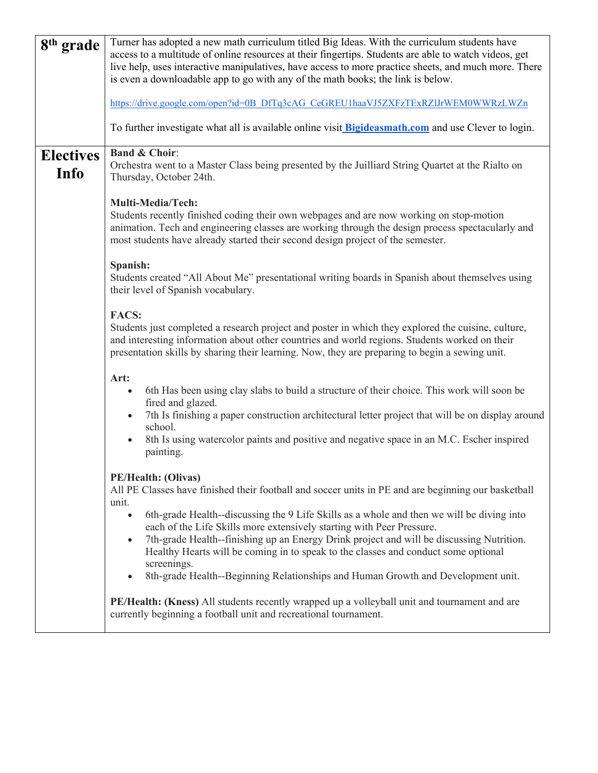| 8 <sup>th</sup> grade    | Turner has adopted a new math curriculum titled Big Ideas. With the curriculum students have<br>access to a multitude of online resources at their fingertips. Students are able to watch videos, get<br>live help, uses interactive manipulatives, have access to more practice sheets, and much more. There<br>is even a downloadable app to go with any of the math books; the link is below.<br>https://drive.google.com/open?id=0B_DfTq3cAG_CeGREU1haaVJ5ZXFzTExRZIJrWEM0WWRzLWZn                                                                                                                                   |
|--------------------------|--------------------------------------------------------------------------------------------------------------------------------------------------------------------------------------------------------------------------------------------------------------------------------------------------------------------------------------------------------------------------------------------------------------------------------------------------------------------------------------------------------------------------------------------------------------------------------------------------------------------------|
|                          | To further investigate what all is available online visit <b>Bigideasmath.com</b> and use Clever to login.                                                                                                                                                                                                                                                                                                                                                                                                                                                                                                               |
| <b>Electives</b><br>Info | <b>Band &amp; Choir:</b><br>Orchestra went to a Master Class being presented by the Juilliard String Quartet at the Rialto on<br>Thursday, October 24th.                                                                                                                                                                                                                                                                                                                                                                                                                                                                 |
|                          | Multi-Media/Tech:<br>Students recently finished coding their own webpages and are now working on stop-motion<br>animation. Tech and engineering classes are working through the design process spectacularly and<br>most students have already started their second design project of the semester.                                                                                                                                                                                                                                                                                                                      |
|                          | Spanish:<br>Students created "All About Me" presentational writing boards in Spanish about themselves using<br>their level of Spanish vocabulary.                                                                                                                                                                                                                                                                                                                                                                                                                                                                        |
|                          | <b>FACS:</b><br>Students just completed a research project and poster in which they explored the cuisine, culture,<br>and interesting information about other countries and world regions. Students worked on their<br>presentation skills by sharing their learning. Now, they are preparing to begin a sewing unit.                                                                                                                                                                                                                                                                                                    |
|                          | Art:<br>6th Has been using clay slabs to build a structure of their choice. This work will soon be<br>fired and glazed.<br>7th Is finishing a paper construction architectural letter project that will be on display around<br>$\bullet$<br>school.<br>8th Is using watercolor paints and positive and negative space in an M.C. Escher inspired<br>painting.                                                                                                                                                                                                                                                           |
|                          | PE/Health: (Olivas)<br>All PE Classes have finished their football and soccer units in PE and are beginning our basketball<br>unit.<br>6th-grade Health--discussing the 9 Life Skills as a whole and then we will be diving into<br>$\bullet$<br>each of the Life Skills more extensively starting with Peer Pressure.<br>7th-grade Health--finishing up an Energy Drink project and will be discussing Nutrition.<br>$\bullet$<br>Healthy Hearts will be coming in to speak to the classes and conduct some optional<br>screenings.<br>8th-grade Health--Beginning Relationships and Human Growth and Development unit. |
|                          | PE/Health: (Kness) All students recently wrapped up a volleyball unit and tournament and are<br>currently beginning a football unit and recreational tournament.                                                                                                                                                                                                                                                                                                                                                                                                                                                         |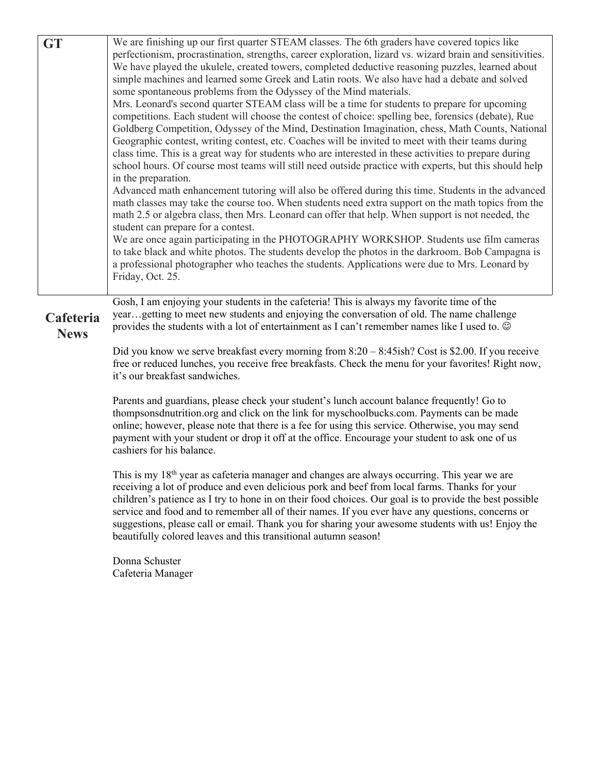| <b>GT</b>                | We are finishing up our first quarter STEAM classes. The 6th graders have covered topics like<br>perfectionism, procrastination, strengths, career exploration, lizard vs. wizard brain and sensitivities.<br>We have played the ukulele, created towers, completed deductive reasoning puzzles, learned about<br>simple machines and learned some Greek and Latin roots. We also have had a debate and solved<br>some spontaneous problems from the Odyssey of the Mind materials.<br>Mrs. Leonard's second quarter STEAM class will be a time for students to prepare for upcoming<br>competitions. Each student will choose the contest of choice: spelling bee, forensics (debate), Rue<br>Goldberg Competition, Odyssey of the Mind, Destination Imagination, chess, Math Counts, National<br>Geographic contest, writing contest, etc. Coaches will be invited to meet with their teams during<br>class time. This is a great way for students who are interested in these activities to prepare during<br>school hours. Of course most teams will still need outside practice with experts, but this should help<br>in the preparation.<br>Advanced math enhancement tutoring will also be offered during this time. Students in the advanced<br>math classes may take the course too. When students need extra support on the math topics from the<br>math 2.5 or algebra class, then Mrs. Leonard can offer that help. When support is not needed, the<br>student can prepare for a contest.<br>We are once again participating in the PHOTOGRAPHY WORKSHOP. Students use film cameras<br>to take black and white photos. The students develop the photos in the darkroom. Bob Campagna is<br>a professional photographer who teaches the students. Applications were due to Mrs. Leonard by<br>Friday, Oct. 25. |
|--------------------------|---------------------------------------------------------------------------------------------------------------------------------------------------------------------------------------------------------------------------------------------------------------------------------------------------------------------------------------------------------------------------------------------------------------------------------------------------------------------------------------------------------------------------------------------------------------------------------------------------------------------------------------------------------------------------------------------------------------------------------------------------------------------------------------------------------------------------------------------------------------------------------------------------------------------------------------------------------------------------------------------------------------------------------------------------------------------------------------------------------------------------------------------------------------------------------------------------------------------------------------------------------------------------------------------------------------------------------------------------------------------------------------------------------------------------------------------------------------------------------------------------------------------------------------------------------------------------------------------------------------------------------------------------------------------------------------------------------------------------------------------------------------------------------------------------------------------------|
| Cafeteria<br><b>News</b> | Gosh, I am enjoying your students in the cafeteria! This is always my favorite time of the<br>yeargetting to meet new students and enjoying the conversation of old. The name challenge<br>provides the students with a lot of entertainment as I can't remember names like I used to. $\odot$                                                                                                                                                                                                                                                                                                                                                                                                                                                                                                                                                                                                                                                                                                                                                                                                                                                                                                                                                                                                                                                                                                                                                                                                                                                                                                                                                                                                                                                                                                                            |
|                          | Did you know we serve breakfast every morning from $8:20 - 8:45$ ish? Cost is \$2.00. If you receive<br>free or reduced lunches, you receive free breakfasts. Check the menu for your favorites! Right now,<br>it's our breakfast sandwiches.                                                                                                                                                                                                                                                                                                                                                                                                                                                                                                                                                                                                                                                                                                                                                                                                                                                                                                                                                                                                                                                                                                                                                                                                                                                                                                                                                                                                                                                                                                                                                                             |
|                          | Parents and guardians, please check your student's lunch account balance frequently! Go to<br>thompsons dnutrition organ d click on the link for myschoolbucks.com. Payments can be made<br>online; however, please note that there is a fee for using this service. Otherwise, you may send<br>payment with your student or drop it off at the office. Encourage your student to ask one of us<br>cashiers for his balance.                                                                                                                                                                                                                                                                                                                                                                                                                                                                                                                                                                                                                                                                                                                                                                                                                                                                                                                                                                                                                                                                                                                                                                                                                                                                                                                                                                                              |
|                          | This is my 18 <sup>th</sup> year as cafeteria manager and changes are always occurring. This year we are<br>receiving a lot of produce and even delicious pork and beef from local farms. Thanks for your<br>children's patience as I try to hone in on their food choices. Our goal is to provide the best possible<br>service and food and to remember all of their names. If you ever have any questions, concerns or<br>suggestions, please call or email. Thank you for sharing your awesome students with us! Enjoy the<br>beautifully colored leaves and this transitional autumn season!                                                                                                                                                                                                                                                                                                                                                                                                                                                                                                                                                                                                                                                                                                                                                                                                                                                                                                                                                                                                                                                                                                                                                                                                                          |
|                          | Donna Schuster<br>Cafeteria Manager                                                                                                                                                                                                                                                                                                                                                                                                                                                                                                                                                                                                                                                                                                                                                                                                                                                                                                                                                                                                                                                                                                                                                                                                                                                                                                                                                                                                                                                                                                                                                                                                                                                                                                                                                                                       |